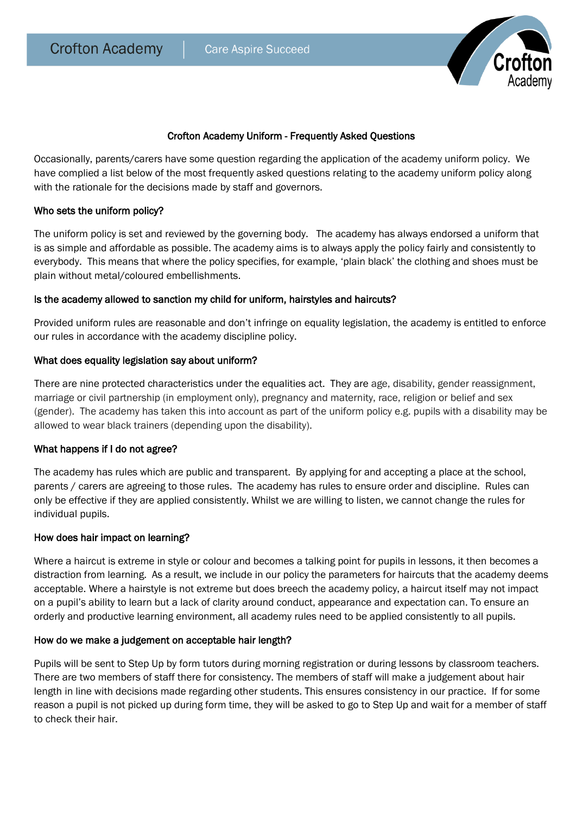

## Crofton Academy Uniform - Frequently Asked Questions

Occasionally, parents/carers have some question regarding the application of the academy uniform policy. We have complied a list below of the most frequently asked questions relating to the academy uniform policy along with the rationale for the decisions made by staff and governors.

### Who sets the uniform policy?

The uniform policy is set and reviewed by the governing body. The academy has always endorsed a uniform that is as simple and affordable as possible. The academy aims is to always apply the policy fairly and consistently to everybody. This means that where the policy specifies, for example, 'plain black' the clothing and shoes must be plain without metal/coloured embellishments.

### Is the academy allowed to sanction my child for uniform, hairstyles and haircuts?

Provided uniform rules are reasonable and don't infringe on equality legislation, the academy is entitled to enforce our rules in accordance with the academy discipline policy.

### What does equality legislation say about uniform?

There are nine protected characteristics under the equalities act. They are age, disability, gender reassignment, marriage or civil partnership (in employment only), pregnancy and maternity, race, religion or belief and sex (gender). The academy has taken this into account as part of the uniform policy e.g. pupils with a disability may be allowed to wear black trainers (depending upon the disability).

### What happens if I do not agree?

The academy has rules which are public and transparent. By applying for and accepting a place at the school, parents / carers are agreeing to those rules. The academy has rules to ensure order and discipline. Rules can only be effective if they are applied consistently. Whilst we are willing to listen, we cannot change the rules for individual pupils.

### How does hair impact on learning?

Where a haircut is extreme in style or colour and becomes a talking point for pupils in lessons, it then becomes a distraction from learning. As a result, we include in our policy the parameters for haircuts that the academy deems acceptable. Where a hairstyle is not extreme but does breech the academy policy, a haircut itself may not impact on a pupil's ability to learn but a lack of clarity around conduct, appearance and expectation can. To ensure an orderly and productive learning environment, all academy rules need to be applied consistently to all pupils.

### How do we make a judgement on acceptable hair length?

Pupils will be sent to Step Up by form tutors during morning registration or during lessons by classroom teachers. There are two members of staff there for consistency. The members of staff will make a judgement about hair length in line with decisions made regarding other students. This ensures consistency in our practice. If for some reason a pupil is not picked up during form time, they will be asked to go to Step Up and wait for a member of staff to check their hair.